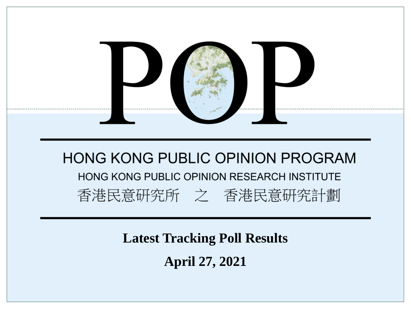

**Latest Tracking Poll Results**

**April 27, 2021**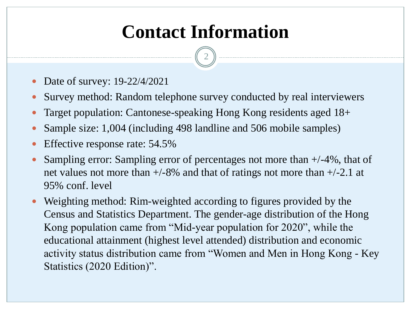# **Contact Information**

2

- Date of survey: 19-22/4/2021
- Survey method: Random telephone survey conducted by real interviewers
- Target population: Cantonese-speaking Hong Kong residents aged 18+
- Sample size: 1,004 (including 498 landline and 506 mobile samples)
- Effective response rate: 54.5%
- Sampling error: Sampling error of percentages not more than +/-4%, that of net values not more than  $+/-8\%$  and that of ratings not more than  $+/-2.1$  at 95% conf. level
- Weighting method: Rim-weighted according to figures provided by the Census and Statistics Department. The gender-age distribution of the Hong Kong population came from "Mid-year population for 2020", while the educational attainment (highest level attended) distribution and economic activity status distribution came from "Women and Men in Hong Kong - Key Statistics (2020 Edition)".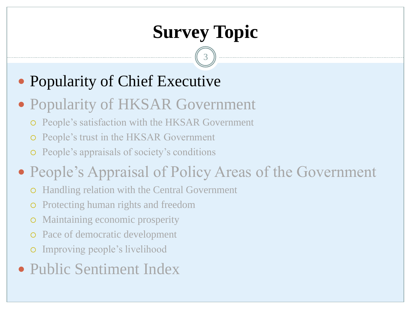3

## Popularity of Chief Executive

### Popularity of HKSAR Government

- People's satisfaction with the HKSAR Government
- People's trust in the HKSAR Government
- People's appraisals of society's conditions

## • People's Appraisal of Policy Areas of the Government

- Handling relation with the Central Government
- Protecting human rights and freedom
- Maintaining economic prosperity
- o Pace of democratic development
- Improving people's livelihood
- Public Sentiment Index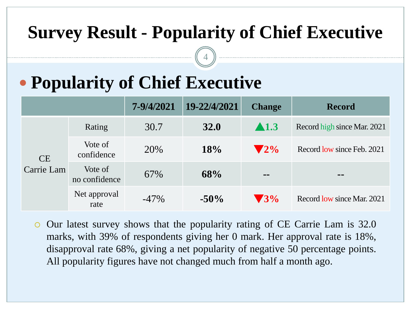# **Survey Result - Popularity of Chief Executive**

4

# **Popularity of Chief Executive**

|                  |                          | 7-9/4/2021 | 19-22/4/2021 | <b>Change</b>                | <b>Record</b>               |
|------------------|--------------------------|------------|--------------|------------------------------|-----------------------------|
| CE<br>Carrie Lam | Rating                   | 30.7       | <b>32.0</b>  | $\blacktriangle$ 1.3         | Record high since Mar. 2021 |
|                  | Vote of<br>confidence    | 20%        | 18%          | $\sqrt{2\%}$                 | Record low since Feb. 2021  |
|                  | Vote of<br>no confidence | 67%        | 68%          | $\qquad \qquad \blacksquare$ | $\blacksquare$              |
|                  | Net approval<br>rate     | $-47\%$    | $-50\%$      | $\blacktriangledown$ 3%      | Record low since Mar. 2021  |

 Our latest survey shows that the popularity rating of CE Carrie Lam is 32.0 marks, with 39% of respondents giving her 0 mark. Her approval rate is 18%, disapproval rate 68%, giving a net popularity of negative 50 percentage points. All popularity figures have not changed much from half a month ago.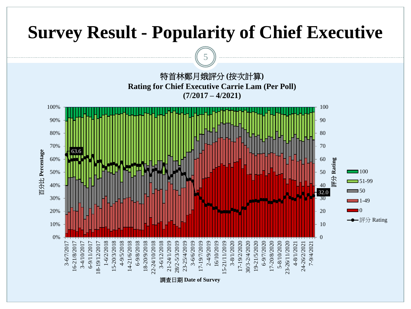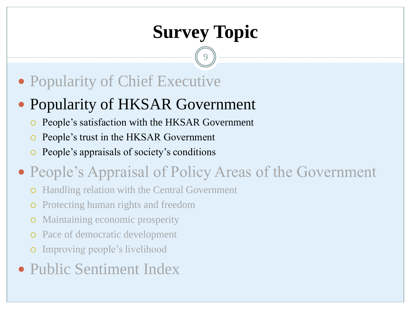9

## Popularity of Chief Executive

### Popularity of HKSAR Government

- People's satisfaction with the HKSAR Government
- People's trust in the HKSAR Government
- People's appraisals of society's conditions

## • People's Appraisal of Policy Areas of the Government

- Handling relation with the Central Government
- Protecting human rights and freedom
- Maintaining economic prosperity
- Pace of democratic development
- Improving people's livelihood
- Public Sentiment Index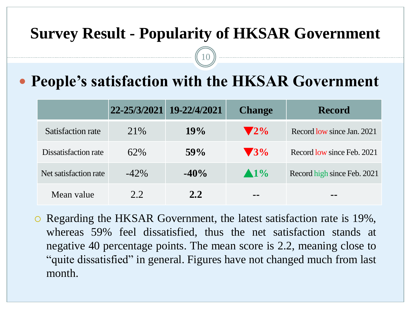#### **Survey Result - Popularity of HKSAR Government**

10

### **People's satisfaction with the HKSAR Government**

|                       |         | 22-25/3/2021 19-22/4/2021 | <b>Change</b>   | <b>Record</b>               |
|-----------------------|---------|---------------------------|-----------------|-----------------------------|
| Satisfaction rate     | 21\%    | 19%                       | $\mathbf{V}2\%$ | Record low since Jan. 2021  |
| Dissatisfaction rate  | 62%     | 59%                       | $\sqrt{3\%}$    | Record low since Feb. 2021  |
| Net satisfaction rate | $-42\%$ | $-40\%$                   | $\triangle 1\%$ | Record high since Feb. 2021 |
| Mean value            | 2.2.    | 2.2                       | --              | --                          |

 Regarding the HKSAR Government, the latest satisfaction rate is 19%, whereas 59% feel dissatisfied, thus the net satisfaction stands at negative 40 percentage points. The mean score is 2.2, meaning close to "quite dissatisfied" in general. Figures have not changed much from last month.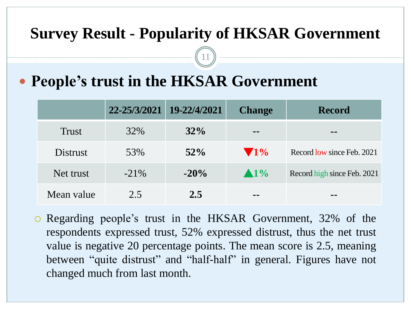#### **Survey Result - Popularity of HKSAR Government**

11

### **People's trust in the HKSAR Government**

|              | 22-25/3/2021 19-22/4/2021 |         | <b>Change</b>   | <b>Record</b>               |
|--------------|---------------------------|---------|-----------------|-----------------------------|
| <b>Trust</b> | 32%                       | $32\%$  | --              | --                          |
| Distrust     | 53%                       | $52\%$  | $\sqrt{1\%}$    | Record low since Feb. 2021  |
| Net trust    | $-21\%$                   | $-20\%$ | $\triangle 1\%$ | Record high since Feb. 2021 |
| Mean value   | 2.5                       | 2.5     | --              | --                          |

 Regarding people's trust in the HKSAR Government, 32% of the respondents expressed trust, 52% expressed distrust, thus the net trust value is negative 20 percentage points. The mean score is 2.5, meaning between "quite distrust" and "half-half" in general. Figures have not changed much from last month.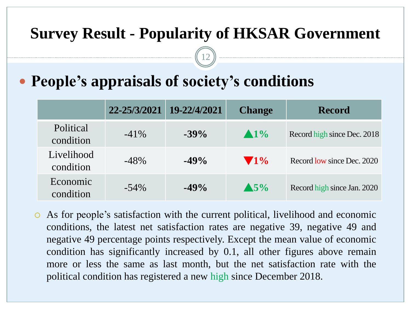#### **Survey Result - Popularity of HKSAR Government**

12

### **People's appraisals of society's conditions**

|                         | 22-25/3/2021 | 19-22/4/2021 | <b>Change</b>   | <b>Record</b>               |
|-------------------------|--------------|--------------|-----------------|-----------------------------|
| Political<br>condition  | $-41\%$      | $-39\%$      | $\triangle 1\%$ | Record high since Dec. 2018 |
| Livelihood<br>condition | $-48%$       | $-49\%$      | $\sqrt{1\%}$    | Record low since Dec. 2020  |
| Economic<br>condition   | $-54\%$      | $-49\%$      | $\triangle$ 5%  | Record high since Jan. 2020 |

 As for people's satisfaction with the current political, livelihood and economic conditions, the latest net satisfaction rates are negative 39, negative 49 and negative 49 percentage points respectively. Except the mean value of economic condition has significantly increased by 0.1, all other figures above remain more or less the same as last month, but the net satisfaction rate with the political condition has registered a new high since December 2018.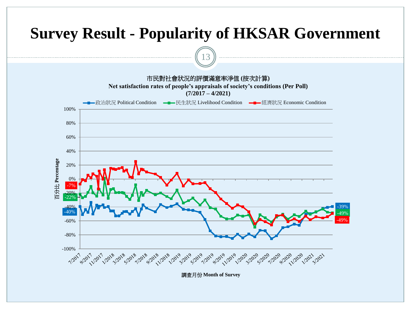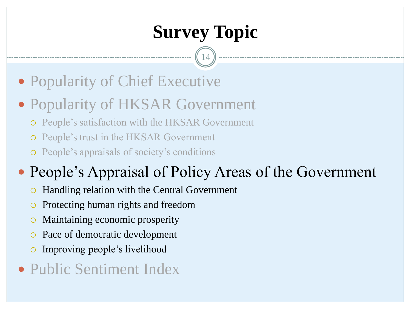14

- Popularity of Chief Executive
- Popularity of HKSAR Government
	- People's satisfaction with the HKSAR Government
	- People's trust in the HKSAR Government
	- People's appraisals of society's conditions

## • People's Appraisal of Policy Areas of the Government

- Handling relation with the Central Government
- Protecting human rights and freedom
- Maintaining economic prosperity
- Pace of democratic development
- Improving people's livelihood
- Public Sentiment Index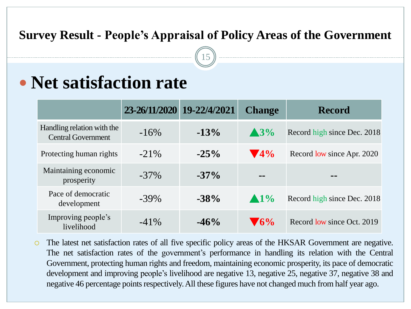#### **Survey Result - People's Appraisal of Policy Areas of the Government**

15

## **Net satisfaction rate**

|                                                         |         | 23-26/11/2020 19-22/4/2021 | <b>Change</b>           | <b>Record</b>               |
|---------------------------------------------------------|---------|----------------------------|-------------------------|-----------------------------|
| Handling relation with the<br><b>Central Government</b> | $-16\%$ | $-13\%$                    | $\triangle 3\%$         | Record high since Dec. 2018 |
| Protecting human rights                                 | $-21\%$ | $-25\%$                    | $\blacktriangledown$ 4% | Record low since Apr. 2020  |
| Maintaining economic<br>prosperity                      | $-37\%$ | $-37\%$                    | --                      | --                          |
| Pace of democratic<br>development                       | $-39\%$ | $-38%$                     | $\blacktriangle 1\%$    | Record high since Dec. 2018 |
| Improving people's<br>livelihood                        | $-41\%$ | $-46%$                     | $\blacktriangledown$ 6% | Record low since Oct. 2019  |

 The latest net satisfaction rates of all five specific policy areas of the HKSAR Government are negative. The net satisfaction rates of the government's performance in handling its relation with the Central Government, protecting human rights and freedom, maintaining economic prosperity, its pace of democratic development and improving people's livelihood are negative 13, negative 25, negative 37, negative 38 and negative 46 percentage points respectively. All these figures have not changed much from half year ago.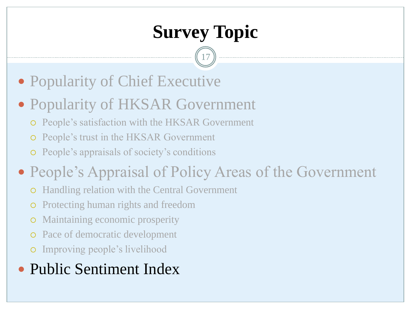17

- Popularity of Chief Executive
- Popularity of HKSAR Government
	- People's satisfaction with the HKSAR Government
	- People's trust in the HKSAR Government
	- People's appraisals of society's conditions
- People's Appraisal of Policy Areas of the Government
	- Handling relation with the Central Government
	- Protecting human rights and freedom
	- Maintaining economic prosperity
	- o Pace of democratic development
	- Improving people's livelihood

## • Public Sentiment Index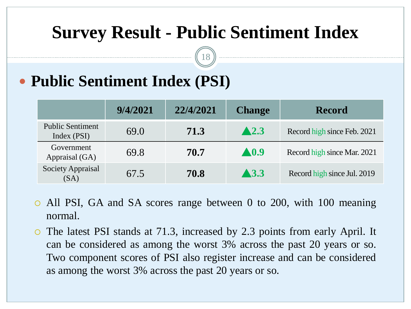# **Survey Result - Public Sentiment Index**

18

## **Public Sentiment Index (PSI)**

|                                        | 9/4/2021 | 22/4/2021 | <b>Change</b>        | <b>Record</b>               |
|----------------------------------------|----------|-----------|----------------------|-----------------------------|
| <b>Public Sentiment</b><br>Index (PSI) | 69.0     | 71.3      | $\blacktriangle$ 2.3 | Record high since Feb. 2021 |
| Government<br>Appraisal (GA)           | 69.8     | 70.7      | $\blacktriangle$ 0.9 | Record high since Mar. 2021 |
| <b>Society Appraisal</b><br>(SA)       | 67.5     | 70.8      | $\blacktriangle$ 3.3 | Record high since Jul. 2019 |

- All PSI, GA and SA scores range between 0 to 200, with 100 meaning normal.
- The latest PSI stands at 71.3, increased by 2.3 points from early April. It can be considered as among the worst 3% across the past 20 years or so. Two component scores of PSI also register increase and can be considered as among the worst 3% across the past 20 years or so.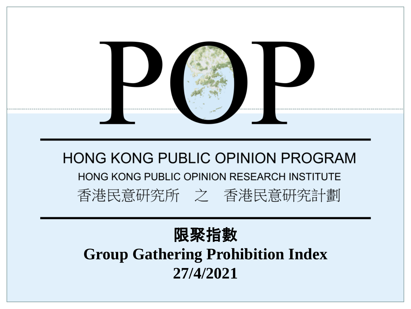

#### 限聚指數 **Group Gathering Prohibition Index 27/4/2021**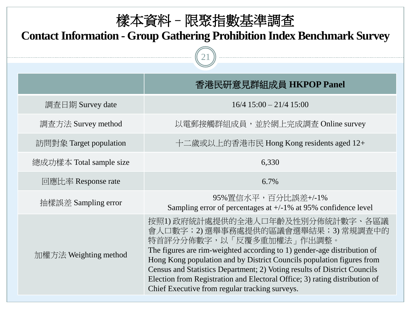| 樣本資料 - 限聚指數基準調査<br><b>Contact Information - Group Gathering Prohibition Index Benchmark Survey</b> |                                                                                                                                                                                                                                                                                                                                                                                                                                                                 |  |  |
|----------------------------------------------------------------------------------------------------|-----------------------------------------------------------------------------------------------------------------------------------------------------------------------------------------------------------------------------------------------------------------------------------------------------------------------------------------------------------------------------------------------------------------------------------------------------------------|--|--|
|                                                                                                    | 香港民研意見群組成員 HKPOP Panel                                                                                                                                                                                                                                                                                                                                                                                                                                          |  |  |
| 調查日期 Survey date                                                                                   | $16/4$ 15:00 - 21/4 15:00                                                                                                                                                                                                                                                                                                                                                                                                                                       |  |  |
| 調査方法 Survey method                                                                                 | 以電郵接觸群組成員,並於網上完成調查 Online survey                                                                                                                                                                                                                                                                                                                                                                                                                                |  |  |
| 訪問對象 Target population                                                                             | 十二歲或以上的香港市民 Hong Kong residents aged 12+                                                                                                                                                                                                                                                                                                                                                                                                                        |  |  |
| 總成功樣本 Total sample size                                                                            | 6,330                                                                                                                                                                                                                                                                                                                                                                                                                                                           |  |  |
| 回應比率 Response rate                                                                                 | 6.7%                                                                                                                                                                                                                                                                                                                                                                                                                                                            |  |  |
| 抽樣誤差 Sampling error                                                                                | 95%置信水平,百分比誤差+/-1%<br>Sampling error of percentages at $+/-1\%$ at 95% confidence level                                                                                                                                                                                                                                                                                                                                                                         |  |  |
| 加權方法 Weighting method                                                                              | 按照1)政府統計處提供的全港人口年齡及性別分佈統計數字、各區議<br>會人口數字;2)選舉事務處提供的區議會選舉結果;3)常規調查中的<br>特首評分分佈數字,以「反覆多重加權法」作出調整。<br>The figures are rim-weighted according to 1) gender-age distribution of<br>Hong Kong population and by District Councils population figures from<br>Census and Statistics Department; 2) Voting results of District Councils<br>Election from Registration and Electoral Office; 3) rating distribution of<br>Chief Executive from regular tracking surveys. |  |  |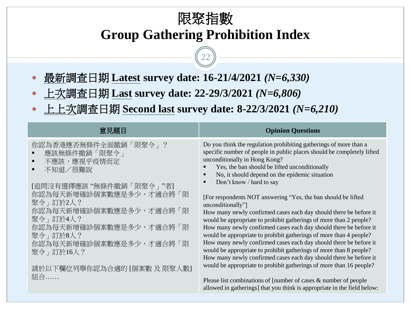#### 限聚指數 **Group Gathering Prohibition Index**

22

- 最新調查日期 **Latest survey date: 16-21/4/2021** *(N=6,330)*
- 上次調查日期 **Last survey date: 22-29/3/2021** *(N=6,806)*
- 上上次調查日期 **Second last survey date: 8-22/3/2021** *(N=6,210)*

| 意見題目                                                                                           | <b>Opinion Questions</b>                                                                                                                                                                                                                                                                                                           |
|------------------------------------------------------------------------------------------------|------------------------------------------------------------------------------------------------------------------------------------------------------------------------------------------------------------------------------------------------------------------------------------------------------------------------------------|
| 你認為香港應否無條件全面撤銷「限聚令」?<br>應該無條件撤銷「限聚令」<br>不應該,應視乎疫情而定<br>٠<br>不知道/很難說<br>[追問沒有選擇應該"無條件撤銷「限聚令」"者] | Do you think the regulation prohibiting gatherings of more than a<br>specific number of people in public places should be completely lifted<br>unconditionally in Hong Kong?<br>Yes, the ban should be lifted unconditionally<br>No, it should depend on the epidemic situation<br>$\blacksquare$<br>Don't know / hard to say<br>п |
| 你認為每天新增確診個案數應是多少,才適合將「限                                                                        | [For respondents NOT answering "Yes, the ban should be lifted                                                                                                                                                                                                                                                                      |
| 聚令 , 訂於2人?                                                                                     | unconditionally"]                                                                                                                                                                                                                                                                                                                  |
| 你認為每天新增確診個案數應是多少,才適合將「限                                                                        | How many newly confirmed cases each day should there be before it                                                                                                                                                                                                                                                                  |
| 聚令 , 訂於4人?                                                                                     | would be appropriate to prohibit gatherings of more than 2 people?                                                                                                                                                                                                                                                                 |
| 你認為每天新增確診個案數應是多少,才適合將「限                                                                        | How many newly confirmed cases each day should there be before it                                                                                                                                                                                                                                                                  |
| 聚令 , 訂於8人?                                                                                     | would be appropriate to prohibit gatherings of more than 4 people?                                                                                                                                                                                                                                                                 |
| 你認為每天新增確診個案數應是多少,才適合將「限                                                                        | How many newly confirmed cases each day should there be before it                                                                                                                                                                                                                                                                  |
| 聚令」訂於16人?                                                                                      | would be appropriate to prohibit gatherings of more than 8 people?                                                                                                                                                                                                                                                                 |
| 請於以下欄位列舉你認為合適的 [個案數 及 限聚人數]                                                                    | How many newly confirmed cases each day should there be before it<br>would be appropriate to prohibit gatherings of more than 16 people?                                                                                                                                                                                           |
| 組合                                                                                             | Please list combinations of [number of cases $\&$ number of people<br>allowed in gatherings] that you think is appropriate in the field below:                                                                                                                                                                                     |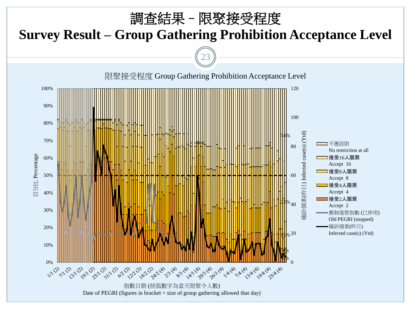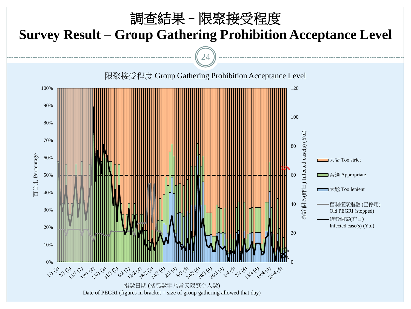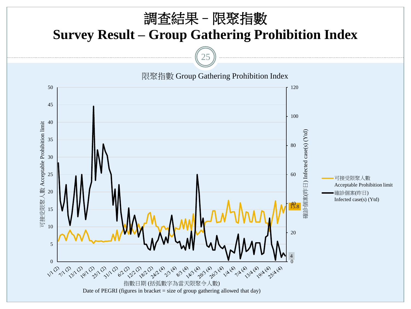